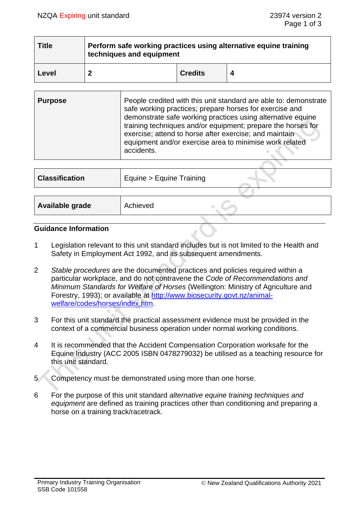| <b>Title</b> | Perform safe working practices using alternative equine training<br>techniques and equipment |                |  |  |
|--------------|----------------------------------------------------------------------------------------------|----------------|--|--|
| Level        |                                                                                              | <b>Credits</b> |  |  |

| <b>Purpose</b> | People credited with this unit standard are able to: demonstrate<br>safe working practices; prepare horses for exercise and<br>demonstrate safe working practices using alternative equine<br>training techniques and/or equipment; prepare the horses for<br>exercise; attend to horse after exercise; and maintain<br>equipment and/or exercise area to minimise work related<br>accidents. |
|----------------|-----------------------------------------------------------------------------------------------------------------------------------------------------------------------------------------------------------------------------------------------------------------------------------------------------------------------------------------------------------------------------------------------|
|                |                                                                                                                                                                                                                                                                                                                                                                                               |

| <b>Classification</b> | Equine > Equine Training |
|-----------------------|--------------------------|
|                       | Achieved                 |
| Available grade       |                          |

### **Guidance Information**

- 1 Legislation relevant to this unit standard includes but is not limited to the Health and Safety in Employment Act 1992, and its subsequent amendments.
- 2 *Stable procedures* are the documented practices and policies required within a particular workplace, and do not contravene the *Code of Recommendations and Minimum Standards for Welfare of Horses* (Wellington: Ministry of Agriculture and Forestry, 1993); or available at [http://www.biosecurity.govt.nz/animal](http://www.biosecurity.govt.nz/animal-welfare/codes/horses/index.htm)[welfare/codes/horses/index.htm.](http://www.biosecurity.govt.nz/animal-welfare/codes/horses/index.htm)
- 3 For this unit standard the practical assessment evidence must be provided in the context of a commercial business operation under normal working conditions.
- 4 It is recommended that the Accident Compensation Corporation worksafe for the Equine Industry (ACC 2005 ISBN 0478279032) be utilised as a teaching resource for this unit standard.
- 5 Competency must be demonstrated using more than one horse.
- 6 For the purpose of this unit standard *alternative equine training techniques and equipment* are defined as training practices other than conditioning and preparing a horse on a training track/racetrack.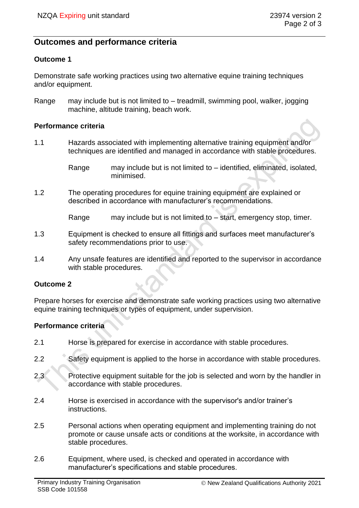# **Outcomes and performance criteria**

### **Outcome 1**

Demonstrate safe working practices using two alternative equine training techniques and/or equipment.

Range may include but is not limited to – treadmill, swimming pool, walker, jogging machine, altitude training, beach work.

### **Performance criteria**

1.1 Hazards associated with implementing alternative training equipment and/or techniques are identified and managed in accordance with stable procedures.

> Range may include but is not limited to – identified, eliminated, isolated, minimised.

- 1.2 The operating procedures for equine training equipment are explained or described in accordance with manufacturer's recommendations.
	- Range may include but is not limited to start, emergency stop, timer.
- 1.3 Equipment is checked to ensure all fittings and surfaces meet manufacturer's safety recommendations prior to use.
- 1.4 Any unsafe features are identified and reported to the supervisor in accordance with stable procedures.

## **Outcome 2**

Prepare horses for exercise and demonstrate safe working practices using two alternative equine training techniques or types of equipment, under supervision.

## **Performance criteria**

- 2.1 Horse is prepared for exercise in accordance with stable procedures.
- 2.2 Safety equipment is applied to the horse in accordance with stable procedures.
- 2.3 Protective equipment suitable for the job is selected and worn by the handler in accordance with stable procedures.
- 2.4 Horse is exercised in accordance with the supervisor's and/or trainer's instructions.
- 2.5 Personal actions when operating equipment and implementing training do not promote or cause unsafe acts or conditions at the worksite, in accordance with stable procedures.
- 2.6 Equipment, where used, is checked and operated in accordance with manufacturer's specifications and stable procedures.